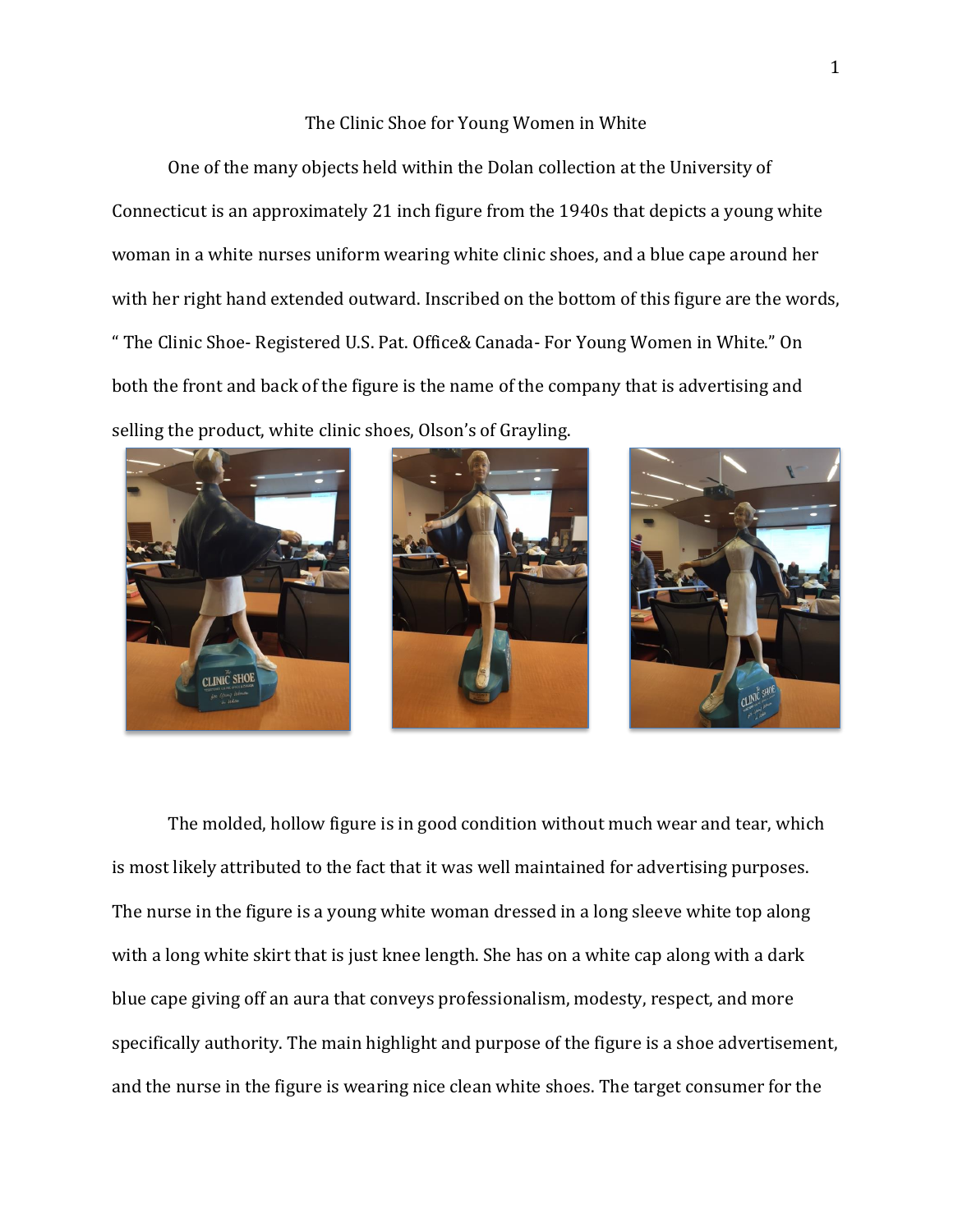## The Clinic Shoe for Young Women in White

One of the many objects held within the Dolan collection at the University of Connecticut is an approximately 21 inch figure from the 1940s that depicts a young white woman in a white nurses uniform wearing white clinic shoes, and a blue cape around her with her right hand extended outward. Inscribed on the bottom of this figure are the words, " The Clinic Shoe- Registered U.S. Pat. Office& Canada- For Young Women in White." On both the front and back of the figure is the name of the company that is advertising and selling the product, white clinic shoes, Olson's of Grayling.







The molded, hollow figure is in good condition without much wear and tear, which is most likely attributed to the fact that it was well maintained for advertising purposes. The nurse in the figure is a young white woman dressed in a long sleeve white top along with a long white skirt that is just knee length. She has on a white cap along with a dark blue cape giving off an aura that conveys professionalism, modesty, respect, and more specifically authority. The main highlight and purpose of the figure is a shoe advertisement, and the nurse in the figure is wearing nice clean white shoes. The target consumer for the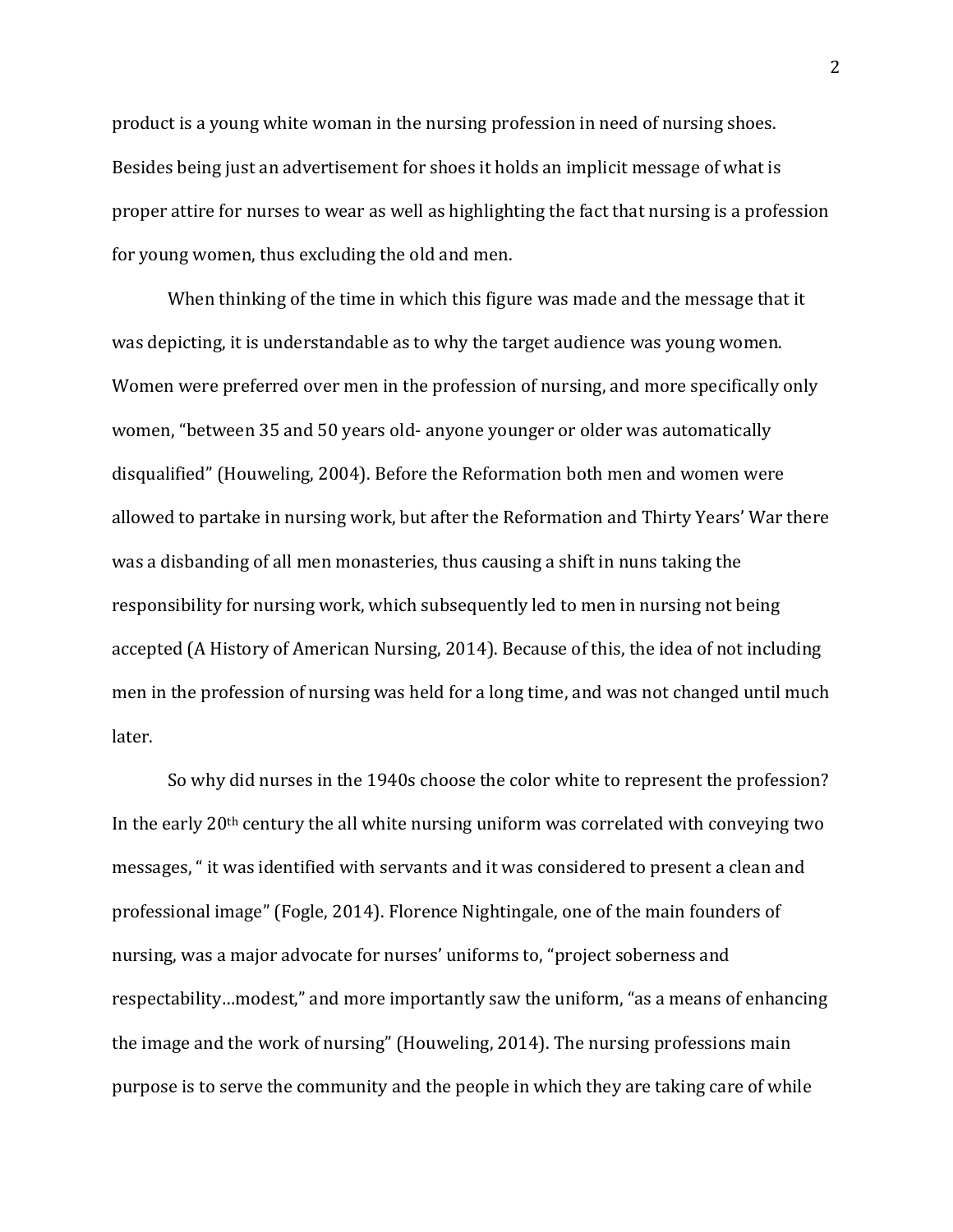product is a young white woman in the nursing profession in need of nursing shoes. Besides being just an advertisement for shoes it holds an implicit message of what is proper attire for nurses to wear as well as highlighting the fact that nursing is a profession for young women, thus excluding the old and men.

When thinking of the time in which this figure was made and the message that it was depicting, it is understandable as to why the target audience was young women. Women were preferred over men in the profession of nursing, and more specifically only women, "between 35 and 50 years old- anyone younger or older was automatically disqualified" (Houweling, 2004). Before the Reformation both men and women were allowed to partake in nursing work, but after the Reformation and Thirty Years' War there was a disbanding of all men monasteries, thus causing a shift in nuns taking the responsibility for nursing work, which subsequently led to men in nursing not being accepted (A History of American Nursing, 2014). Because of this, the idea of not including men in the profession of nursing was held for a long time, and was not changed until much later.

So why did nurses in the 1940s choose the color white to represent the profession? In the early 20th century the all white nursing uniform was correlated with conveying two messages, " it was identified with servants and it was considered to present a clean and professional image" (Fogle, 2014). Florence Nightingale, one of the main founders of nursing, was a major advocate for nurses' uniforms to, "project soberness and respectability…modest," and more importantly saw the uniform, "as a means of enhancing the image and the work of nursing" (Houweling, 2014). The nursing professions main purpose is to serve the community and the people in which they are taking care of while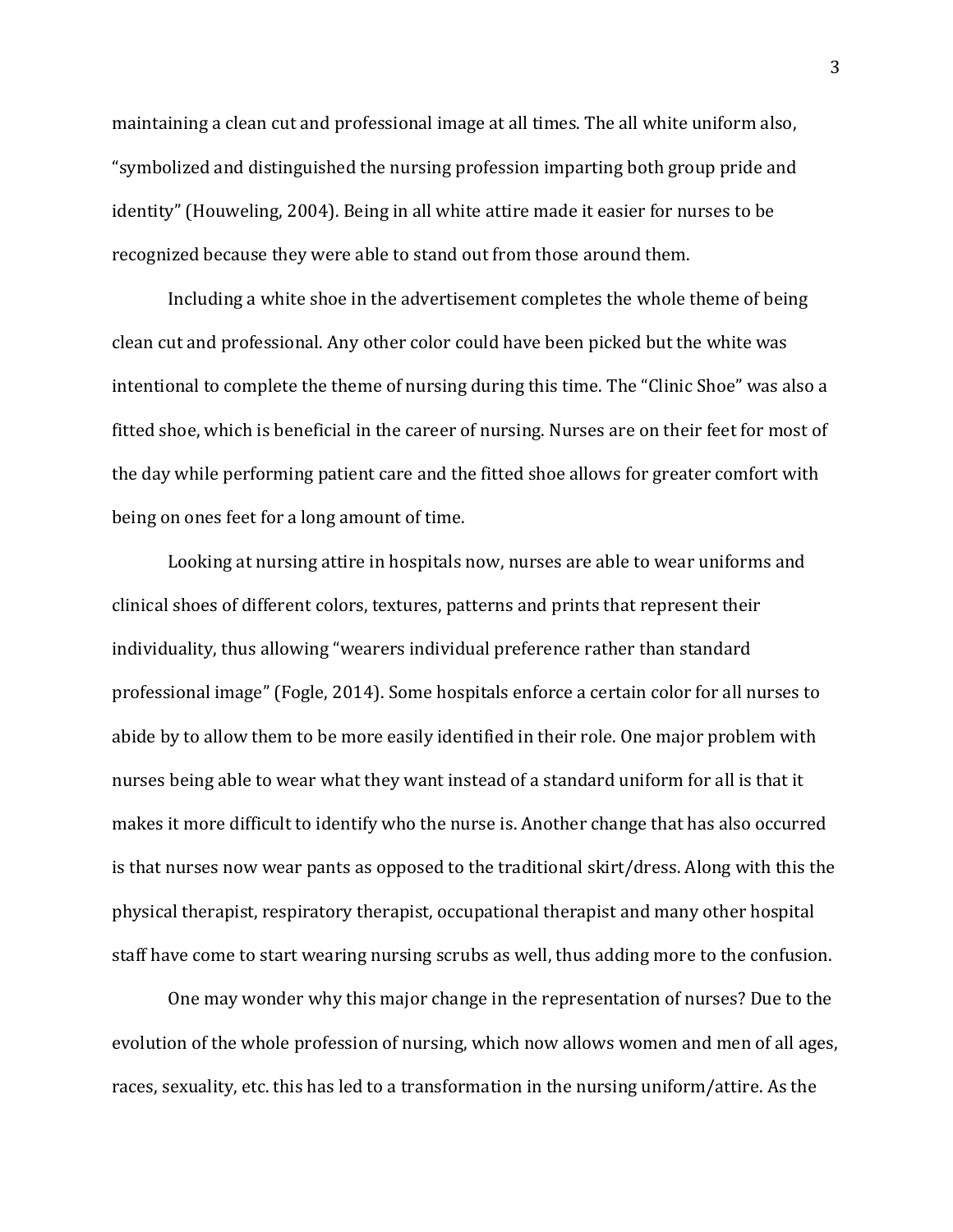maintaining a clean cut and professional image at all times. The all white uniform also, "symbolized and distinguished the nursing profession imparting both group pride and identity" (Houweling, 2004). Being in all white attire made it easier for nurses to be recognized because they were able to stand out from those around them.

Including a white shoe in the advertisement completes the whole theme of being clean cut and professional. Any other color could have been picked but the white was intentional to complete the theme of nursing during this time. The "Clinic Shoe" was also a fitted shoe, which is beneficial in the career of nursing. Nurses are on their feet for most of the day while performing patient care and the fitted shoe allows for greater comfort with being on ones feet for a long amount of time.

Looking at nursing attire in hospitals now, nurses are able to wear uniforms and clinical shoes of different colors, textures, patterns and prints that represent their individuality, thus allowing "wearers individual preference rather than standard professional image" (Fogle, 2014). Some hospitals enforce a certain color for all nurses to abide by to allow them to be more easily identified in their role. One major problem with nurses being able to wear what they want instead of a standard uniform for all is that it makes it more difficult to identify who the nurse is. Another change that has also occurred is that nurses now wear pants as opposed to the traditional skirt/dress. Along with this the physical therapist, respiratory therapist, occupational therapist and many other hospital staff have come to start wearing nursing scrubs as well, thus adding more to the confusion.

One may wonder why this major change in the representation of nurses? Due to the evolution of the whole profession of nursing, which now allows women and men of all ages, races, sexuality, etc. this has led to a transformation in the nursing uniform/attire. As the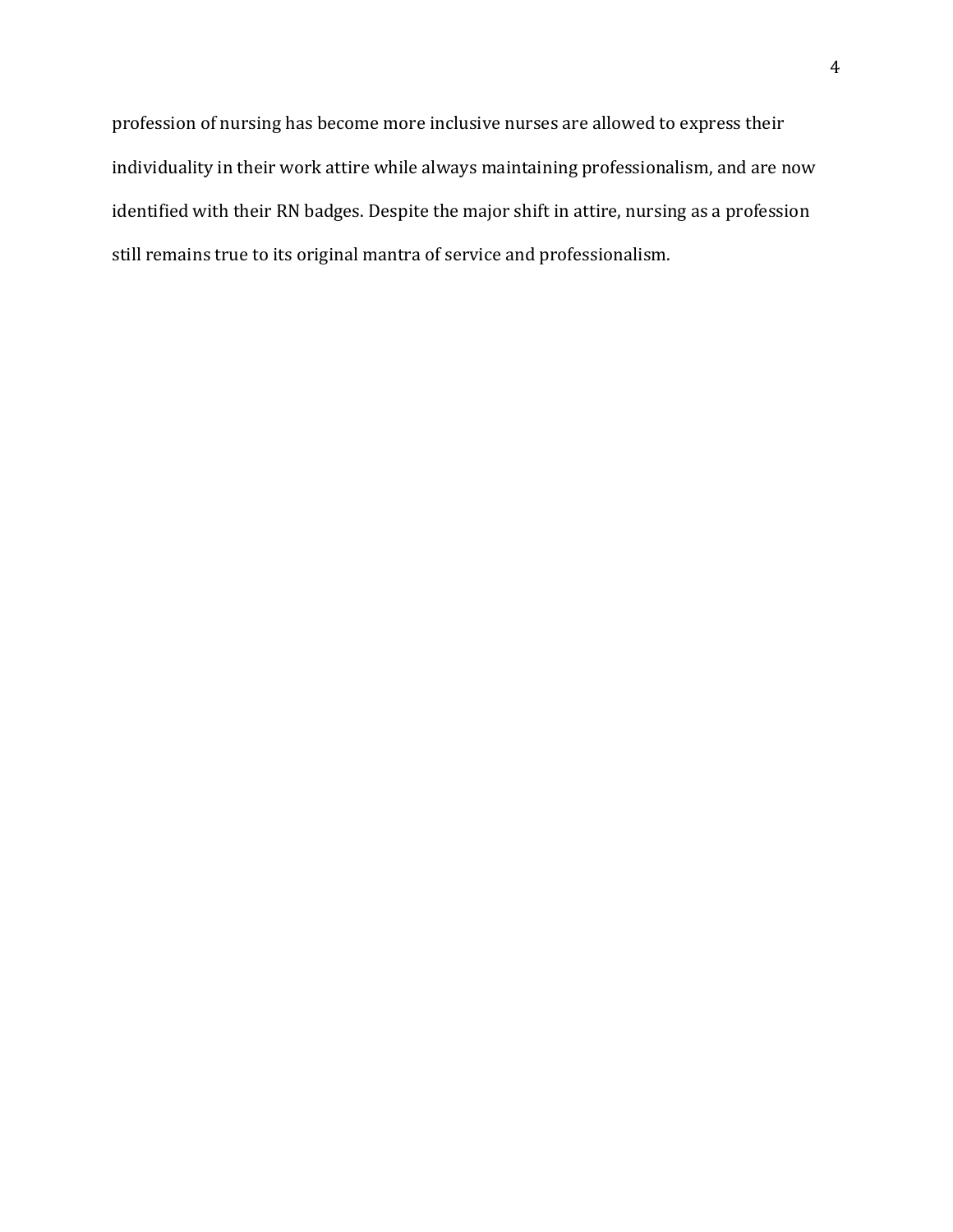profession of nursing has become more inclusive nurses are allowed to express their individuality in their work attire while always maintaining professionalism, and are now identified with their RN badges. Despite the major shift in attire, nursing as a profession still remains true to its original mantra of service and professionalism.